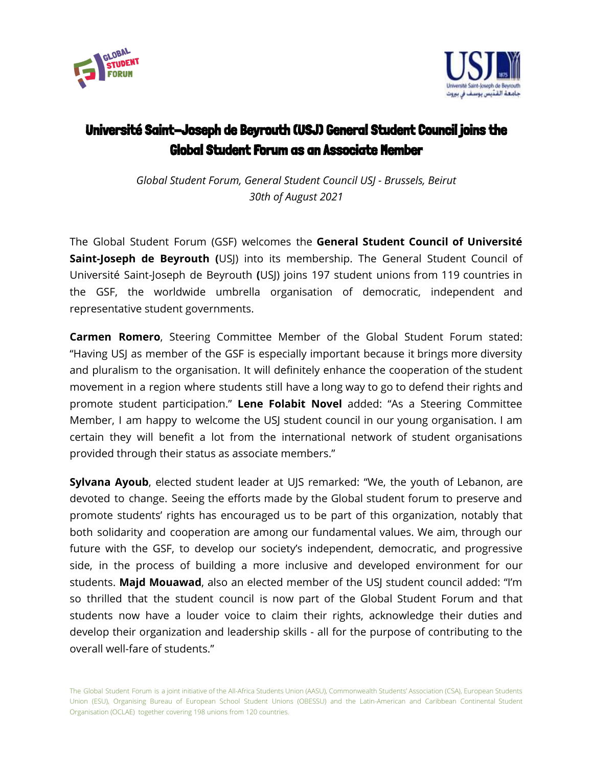



## Université Saint-Joseph de Beyrouth (USJ) General Student Council joins the Global Student Forum as an Associate Member

*Global Student Forum, General Student Council USJ - Brussels, Beirut 30th of August 2021*

The Global Student Forum (GSF) welcomes the **General Student Council of Université Saint-Joseph de Beyrouth (**USJ) into its membership. The General Student Council of Université Saint-Joseph de Beyrouth **(**USJ) joins 197 student unions from 119 countries in the GSF, the worldwide umbrella organisation of democratic, independent and representative student governments.

**Carmen Romero**, Steering Committee Member of the Global Student Forum stated: "Having USJ as member of the GSF is especially important because it brings more diversity and pluralism to the organisation. It will definitely enhance the cooperation of the student movement in a region where students still have a long way to go to defend their rights and promote student participation." **Lene Folabit Novel** added: "As a Steering Committee Member, I am happy to welcome the USJ student council in our young organisation. I am certain they will benefit a lot from the international network of student organisations provided through their status as associate members."

**Sylvana Ayoub**, elected student leader at UJS remarked: "We, the youth of Lebanon, are devoted to change. Seeing the efforts made by the Global student forum to preserve and promote students' rights has encouraged us to be part of this organization, notably that both solidarity and cooperation are among our fundamental values. We aim, through our future with the GSF, to develop our society's independent, democratic, and progressive side, in the process of building a more inclusive and developed environment for our students. **Majd Mouawad**, also an elected member of the USJ student council added: "I'm so thrilled that the student council is now part of the Global Student Forum and that students now have a louder voice to claim their rights, acknowledge their duties and develop their organization and leadership skills - all for the purpose of contributing to the overall well-fare of students."

The Global Student Forum is a joint initiative of the All-Africa Students Union (AASU), Commonwealth Students' Association (CSA), European Students Union (ESU), Organising Bureau of European School Student Unions (OBESSU) and the Latin-American and Caribbean Continental Student Organisation (OCLAE) together covering 198 unions from 120 countries.